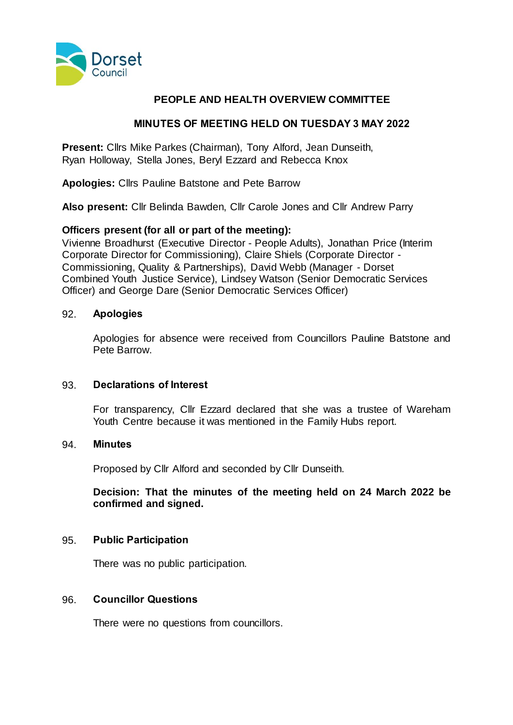

# **PEOPLE AND HEALTH OVERVIEW COMMITTEE**

## **MINUTES OF MEETING HELD ON TUESDAY 3 MAY 2022**

**Present:** Cllrs Mike Parkes (Chairman), Tony Alford, Jean Dunseith, Ryan Holloway, Stella Jones, Beryl Ezzard and Rebecca Knox

**Apologies:** Cllrs Pauline Batstone and Pete Barrow

**Also present:** Cllr Belinda Bawden, Cllr Carole Jones and Cllr Andrew Parry

## **Officers present (for all or part of the meeting):**

Vivienne Broadhurst (Executive Director - People Adults), Jonathan Price (Interim Corporate Director for Commissioning), Claire Shiels (Corporate Director - Commissioning, Quality & Partnerships), David Webb (Manager - Dorset Combined Youth Justice Service), Lindsey Watson (Senior Democratic Services Officer) and George Dare (Senior Democratic Services Officer)

## 92. **Apologies**

Apologies for absence were received from Councillors Pauline Batstone and Pete Barrow.

### 93. **Declarations of Interest**

For transparency, Cllr Ezzard declared that she was a trustee of Wareham Youth Centre because it was mentioned in the Family Hubs report.

### 94. **Minutes**

Proposed by Cllr Alford and seconded by Cllr Dunseith.

**Decision: That the minutes of the meeting held on 24 March 2022 be confirmed and signed.**

### 95. **Public Participation**

There was no public participation.

### 96. **Councillor Questions**

There were no questions from councillors.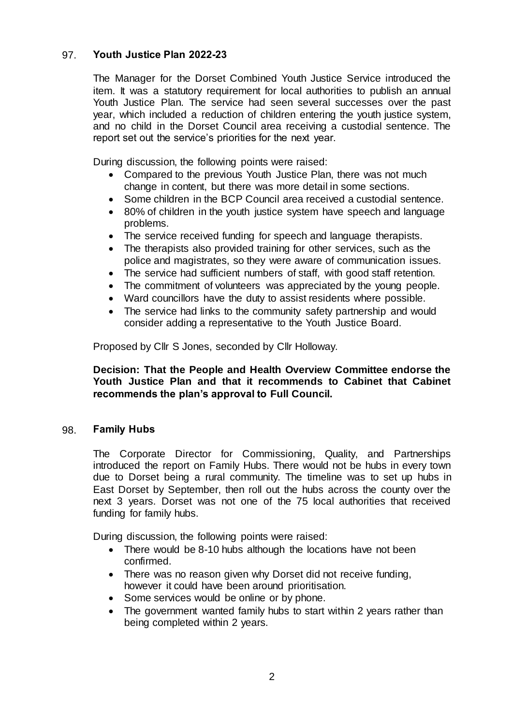# 97. **Youth Justice Plan 2022-23**

The Manager for the Dorset Combined Youth Justice Service introduced the item. It was a statutory requirement for local authorities to publish an annual Youth Justice Plan. The service had seen several successes over the past year, which included a reduction of children entering the youth justice system, and no child in the Dorset Council area receiving a custodial sentence. The report set out the service's priorities for the next year.

During discussion, the following points were raised:

- Compared to the previous Youth Justice Plan, there was not much change in content, but there was more detail in some sections.
- Some children in the BCP Council area received a custodial sentence.
- 80% of children in the youth justice system have speech and language problems.
- The service received funding for speech and language therapists.
- The therapists also provided training for other services, such as the police and magistrates, so they were aware of communication issues.
- The service had sufficient numbers of staff, with good staff retention.
- The commitment of volunteers was appreciated by the young people.
- Ward councillors have the duty to assist residents where possible.
- The service had links to the community safety partnership and would consider adding a representative to the Youth Justice Board.

Proposed by Cllr S Jones, seconded by Cllr Holloway.

**Decision: That the People and Health Overview Committee endorse the Youth Justice Plan and that it recommends to Cabinet that Cabinet recommends the plan's approval to Full Council.**

## 98. **Family Hubs**

The Corporate Director for Commissioning, Quality, and Partnerships introduced the report on Family Hubs. There would not be hubs in every town due to Dorset being a rural community. The timeline was to set up hubs in East Dorset by September, then roll out the hubs across the county over the next 3 years. Dorset was not one of the 75 local authorities that received funding for family hubs.

During discussion, the following points were raised:

- There would be 8-10 hubs although the locations have not been confirmed.
- There was no reason given why Dorset did not receive funding, however it could have been around prioritisation.
- Some services would be online or by phone.
- The government wanted family hubs to start within 2 years rather than being completed within 2 years.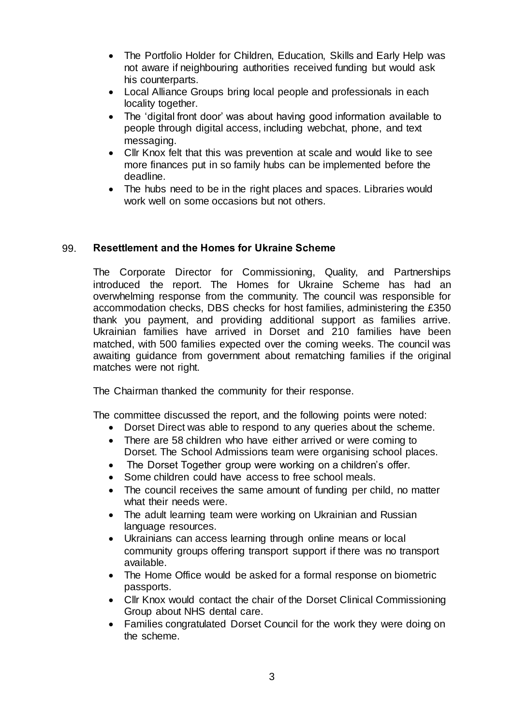- The Portfolio Holder for Children, Education, Skills and Early Help was not aware if neighbouring authorities received funding but would ask his counterparts.
- Local Alliance Groups bring local people and professionals in each locality together.
- The 'digital front door' was about having good information available to people through digital access, including webchat, phone, and text messaging.
- Cllr Knox felt that this was prevention at scale and would like to see more finances put in so family hubs can be implemented before the deadline.
- The hubs need to be in the right places and spaces. Libraries would work well on some occasions but not others.

# 99. **Resettlement and the Homes for Ukraine Scheme**

The Corporate Director for Commissioning, Quality, and Partnerships introduced the report. The Homes for Ukraine Scheme has had an overwhelming response from the community. The council was responsible for accommodation checks, DBS checks for host families, administering the £350 thank you payment, and providing additional support as families arrive. Ukrainian families have arrived in Dorset and 210 families have been matched, with 500 families expected over the coming weeks. The council was awaiting guidance from government about rematching families if the original matches were not right.

The Chairman thanked the community for their response.

The committee discussed the report, and the following points were noted:

- Dorset Direct was able to respond to any queries about the scheme.
- There are 58 children who have either arrived or were coming to Dorset. The School Admissions team were organising school places.
- The Dorset Together group were working on a children's offer.
- Some children could have access to free school meals.
- The council receives the same amount of funding per child, no matter what their needs were.
- The adult learning team were working on Ukrainian and Russian language resources.
- Ukrainians can access learning through online means or local community groups offering transport support if there was no transport available.
- The Home Office would be asked for a formal response on biometric passports.
- Cllr Knox would contact the chair of the Dorset Clinical Commissioning Group about NHS dental care.
- Families congratulated Dorset Council for the work they were doing on the scheme.